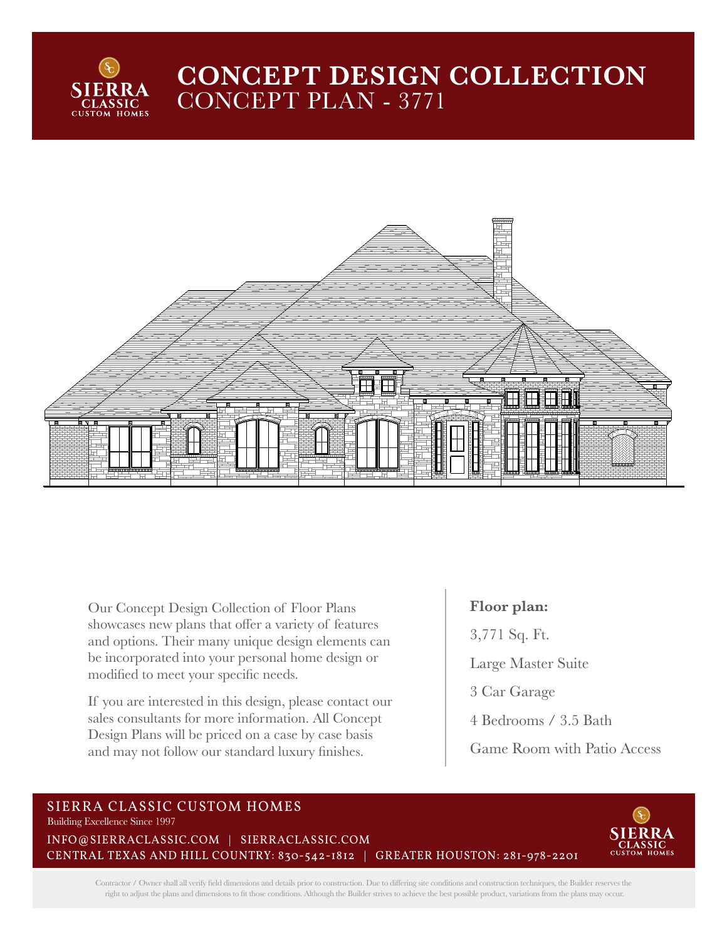

## **CONCEPT DESIGN COLLECTION**  CONCEPT PLAN - 3771



Our Concept Design Collection of Floor Plans showcases new plans that offer a variety of features and options. Their many unique design elements can be incorporated into your personal home design or modified to meet your specific needs.

If you are interested in this design, please contact our sales consultants for more information. All Concept Design Plans will be priced on a case by case basis and may not follow our standard luxury finishes.

## **Floor plan:**

3,771 Sq. Ft.

Large Master Suite

3 Car Garage

4 Bedrooms / 3.5 Bath

Game Room with Patio Access

## SIERRA CLASSIC CUSTOM HOMES Building Excellence Since 1997

INFO@SIERRACLASSIC.COM | SIERRACLASSIC.COM CENTRAL TEXAS AND HILL COUNTRY: 830-542-1812 | GREATER HOUSTON: 281-978-2201



Contractor / Owner shall all verify field dimensions and details prior to construction. Due to differing site conditions and construction techniques, the Builder reserves the right to adjust the plans and dimensions to fit those conditions. Although the Builder strives to achieve the best possible product, variations from the plans may occur.